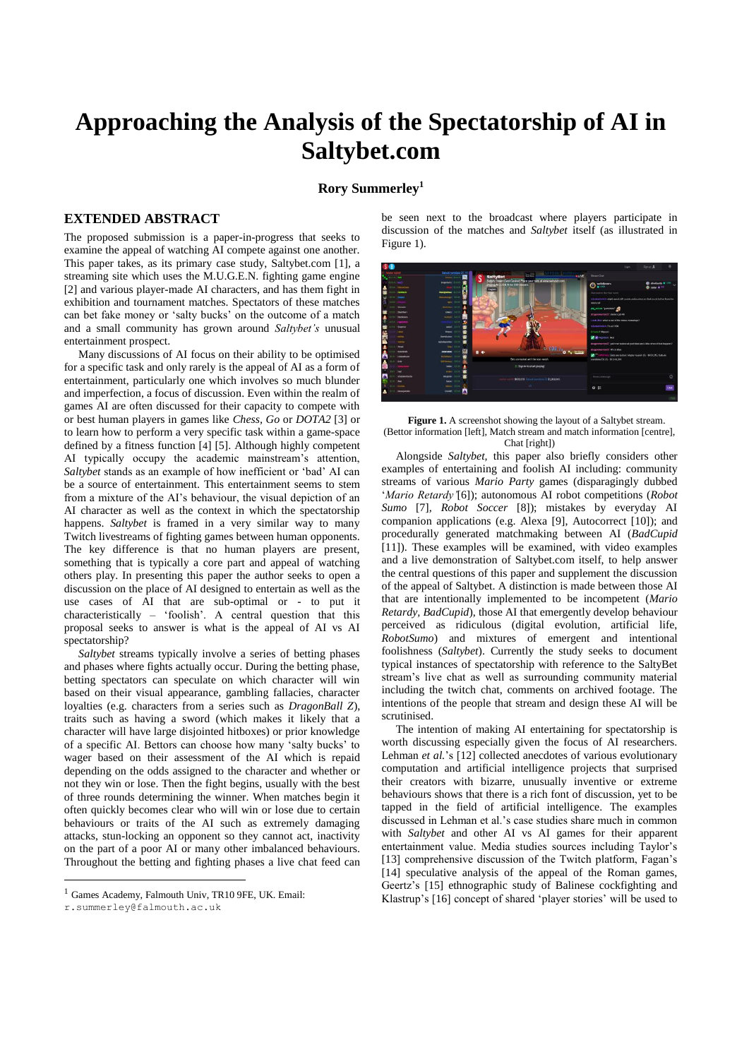## **Approaching the Analysis of the Spectatorship of AI in Saltybet.com**

## **Rory Summerley 1**

## **EXTENDED ABSTRACT<sup>1</sup>**

The proposed submission is a paper-in-progress that seeks to examine the appeal of watching AI compete against one another. This paper takes, as its primary case study, Saltybet.com [1], a streaming site which uses the M.U.G.E.N. fighting game engine [2] and various player-made AI characters, and has them fight in exhibition and tournament matches. Spectators of these matches can bet fake money or 'salty bucks' on the outcome of a match and a small community has grown around *Saltybet's* unusual entertainment prospect.

Many discussions of AI focus on their ability to be optimised for a specific task and only rarely is the appeal of AI as a form of entertainment, particularly one which involves so much blunder and imperfection, a focus of discussion. Even within the realm of games AI are often discussed for their capacity to compete with or best human players in games like *Chess, Go* or *DOTA2* [3] or to learn how to perform a very specific task within a game-space defined by a fitness function [4] [5]. Although highly competent AI typically occupy the academic mainstream's attention, *Saltybet* stands as an example of how inefficient or 'bad' AI can be a source of entertainment. This entertainment seems to stem from a mixture of the AI's behaviour, the visual depiction of an AI character as well as the context in which the spectatorship happens. *Saltybet* is framed in a very similar way to many Twitch livestreams of fighting games between human opponents. The key difference is that no human players are present, something that is typically a core part and appeal of watching others play. In presenting this paper the author seeks to open a discussion on the place of AI designed to entertain as well as the use cases of AI that are sub-optimal or - to put it characteristically – 'foolish'. A central question that this proposal seeks to answer is what is the appeal of AI vs AI spectatorship?

*Saltybet* streams typically involve a series of betting phases and phases where fights actually occur. During the betting phase, betting spectators can speculate on which character will win based on their visual appearance, gambling fallacies, character loyalties (e.g. characters from a series such as *DragonBall Z*), traits such as having a sword (which makes it likely that a character will have large disjointed hitboxes) or prior knowledge of a specific AI. Bettors can choose how many 'salty bucks' to wager based on their assessment of the AI which is repaid depending on the odds assigned to the character and whether or not they win or lose. Then the fight begins, usually with the best of three rounds determining the winner. When matches begin it often quickly becomes clear who will win or lose due to certain behaviours or traits of the AI such as extremely damaging attacks, stun-locking an opponent so they cannot act, inactivity on the part of a poor AI or many other imbalanced behaviours. Throughout the betting and fighting phases a live chat feed can

1

be seen next to the broadcast where players participate in discussion of the matches and *Saltybet* itself (as illustrated in Figure 1).





Alongside *Saltybet,* this paper also briefly considers other examples of entertaining and foolish AI including: community streams of various *Mario Party* games (disparagingly dubbed '*Mario Retardy'*[6]); autonomous AI robot competitions (*Robot Sumo* [7]*, Robot Soccer* [8]); mistakes by everyday AI companion applications (e.g. Alexa [9], Autocorrect [10]); and procedurally generated matchmaking between AI (*BadCupid* [11]). These examples will be examined, with video examples and a live demonstration of Saltybet.com itself, to help answer the central questions of this paper and supplement the discussion of the appeal of Saltybet. A distinction is made between those AI that are intentionally implemented to be incompetent (*Mario Retardy, BadCupid*), those AI that emergently develop behaviour perceived as ridiculous (digital evolution, artificial life, *RobotSumo*) and mixtures of emergent and intentional foolishness (*Saltybet*). Currently the study seeks to document typical instances of spectatorship with reference to the SaltyBet stream's live chat as well as surrounding community material including the twitch chat, comments on archived footage. The intentions of the people that stream and design these AI will be scrutinised.

The intention of making AI entertaining for spectatorship is worth discussing especially given the focus of AI researchers. Lehman *et al.*'s [12] collected anecdotes of various evolutionary computation and artificial intelligence projects that surprised their creators with bizarre, unusually inventive or extreme behaviours shows that there is a rich font of discussion, yet to be tapped in the field of artificial intelligence. The examples discussed in Lehman et al.'s case studies share much in common with *Saltybet* and other AI vs AI games for their apparent entertainment value. Media studies sources including Taylor's [13] comprehensive discussion of the Twitch platform, Fagan's [14] speculative analysis of the appeal of the Roman games, Geertz's [15] ethnographic study of Balinese cockfighting and Klastrup's [16] concept of shared 'player stories' will be used to

<sup>1</sup> Games Academy, Falmouth Univ, TR10 9FE, UK. Email:

r.summerley@falmouth.ac.uk